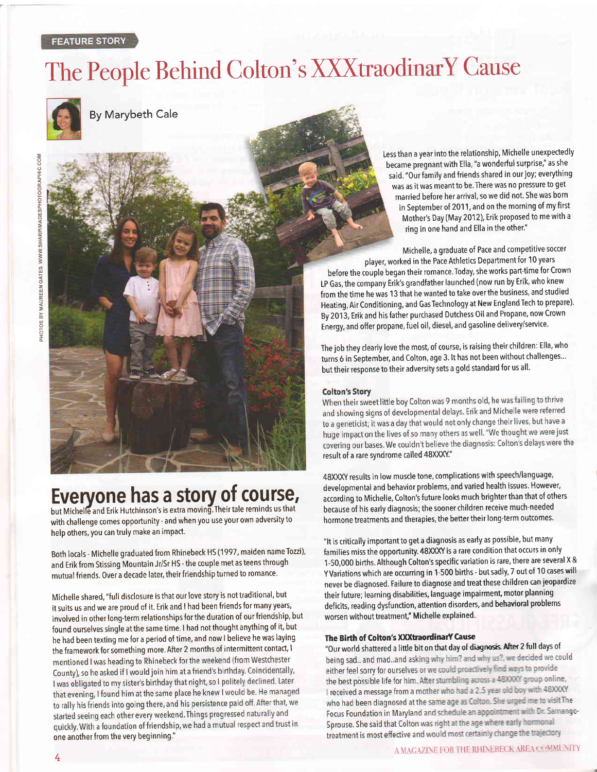# The People Behind Colton's XXXtraodinarY Cause



By Marybeth Cale

z

# Evervone has a story of course,

but Michelle and Erik Hutchinson's is extra moving. Their tale reminds us that with challenge comes opportunity - and when you use your own adversity to help others, you can truly make an impact.

Both locals - Michelle graduated from Rhinebeck HS (1997, maiden name Tozzi), and Erik from Stissing Mountain Jr/Sr HS - the couple met as teens through mutual friends. Over a decade later, their friendship turned to romance'

Michelle shared, "full disclosure is that our love story is not traditional, but it suits us and we are proud of it. Erik and I had been friends for many years, involved in other long-term relationships for the duration of our friendship, but found ourselves single at the same time. I had not thought anything of it, but he had been texting me for a period of time, and now I believe he was laying the framework for something more. After 2 months of intermittent contact, I<br>mentioned I was heading to Rhinebeck for the weekend (from Westchester County), so he asked if I would join him at a friend's birthday. Coincidentally, I was obligated to my sister's birthday that night, so I politely declined. Later that evening, I found him at the same place he knew I would be. He managed to rally his friends into going there, and his persistence paid off. After that, we started seeing each other every weekend. Things progressed naturally and quickly. With a foundation of friendship, we had a mutual respect and trust in<br>one another from the very beginning."

Less than a year into the relationship, Michelle unexpectedly became pregnant with Ella, "a wonderful surprise," as she said. "0ur family and friends shared in our joy; everything was as it was meant to be. There was no pressure to get married before her arrival, so we did not. She was born in September of 2011, and on the morning of my first Mother's Day (May 2012), Erik proposed tome with a ring in one hand and Ella in the other."

Michelle, a graduate of Pace and competitive soccer player, worked in the Pace Athletics Department for 10 years

before the couple began their romance.Today, she works part-time for Crown LP Gas, the company Erik's grandfather launched (now run by Erik, who knew from the time he was 13 that he wanted to take over the business, and studied Heating, Air Conditioning, and Gas Technology at New England Tech to prepare). By 2013, Erik and his father purchased Dutchess Oil and Propane, now Crown Energy, and offer propane, fuel oil, diesel, and gasoline delivery/service.

The job they clearly love the most, of course, israising their children: Ella, who turns 6 in September, and Colton, age 3. It has not been without challenges... but their response to their adversity sets a gold standard for us all'

#### **Colton's Story**

When their sweet little boy Colton was 9 months old, he was failing to thrive and showing signs of developmental delays. Erik and Michelle were referred to a geneticist; it was a day that would not only change their lives, but have a huge impact on the lives of so many others as well. "We thought we were just covering our bases. We couldn't believe the diagnosis: Colton's delays were the result of a rare syndrome called 48XXXY."

48XXXY results in low muscle tone, complications with speech/language, developmental and behavior problems, and varied health issues. However, according to Michelle, colton's future looks much brighter than that of others because of his early diagnosis; the sooner children receive much-needed hormone treatments and therapies, the better their long-term outcomes.

"It is critically important to get a diagnosis as early as possible, but many families miss the opportunity. 48XXXY is a rare condition that occurs in only 1-50,000 births. Although Colton's specific variation is rare, there are several X & Y Variations which are occurring in 1-500 births - but sadly, 7 out of 10 cases will never be diagnosed. Failure to diagnose and treat these children can jeopardize their future; learning disabilities, language impairment, motor planning deficits, reading dysfunction, attention disorders, and behavioral problems worsen without treatment," Michelle explained.

### The Birth of Colton's XXXtraordinarY Cause

"Our world shattered a little bit on that day of diagnosis. After 2 full days of<br>being sad.. and mad..and asking why him? and why us?, we decided we could either feel sorry for ourselves or we could proactively find ways to provide the best possible life for him. After stumbling across a 48XXXY group online, I received a message from a mother who had a 2.5 year old boy with 48XXXY who had been diagnosed at the same age as Colton. She urged me to visit The Focus Foundation in Maryland and schedule an appointment with Dr. Samango-Sprouse. She said that Colton was right at the age where early hormonal treatment is most effective and would most certainly change the trajectory